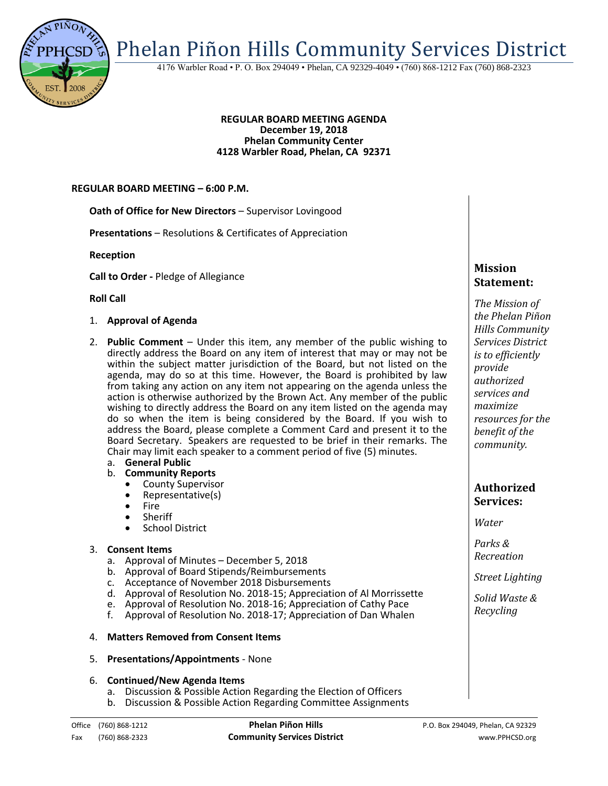

Phelan Piñon Hills Community Services District

4176 Warbler Road • P. O. Box 294049 • Phelan, CA 92329-4049 • (760) 868-1212 Fax (760) 868-2323

#### **REGULAR BOARD MEETING AGENDA December 19, 2018 Phelan Community Center 4128 Warbler Road, Phelan, CA 92371**

#### **REGULAR BOARD MEETING – 6:00 P.M.**

**Oath of Office for New Directors** – Supervisor Lovingood

**Presentations** – Resolutions & Certificates of Appreciation

**Reception**

**Call to Order -** Pledge of Allegiance

**Roll Call** 

- 1. **Approval of Agenda**
- 2. **Public Comment**  Under this item, any member of the public wishing to directly address the Board on any item of interest that may or may not be within the subject matter jurisdiction of the Board, but not listed on the agenda, may do so at this time. However, the Board is prohibited by law from taking any action on any item not appearing on the agenda unless the action is otherwise authorized by the Brown Act. Any member of the public wishing to directly address the Board on any item listed on the agenda may do so when the item is being considered by the Board. If you wish to address the Board, please complete a Comment Card and present it to the Board Secretary. Speakers are requested to be brief in their remarks. The Chair may limit each speaker to a comment period of five (5) minutes.

## a. **General Public**

- b. **Community Reports**
	- County Supervisor
	- Representative(s)
	- $\bullet$  Fire<br> $\bullet$  Shei
	- **Sheriff**
	- School District

#### 3. **Consent Items**

- a. Approval of Minutes December 5, 2018
- b. Approval of Board Stipends/Reimbursements
- c. Acceptance of November 2018 Disbursements
- d. Approval of Resolution No. 2018-15; Appreciation of Al Morrissette
- e. Approval of Resolution No. 2018-16; Appreciation of Cathy Pace
- f. Approval of Resolution No. 2018-17; Appreciation of Dan Whalen

#### 4. **Matters Removed from Consent Items**

5. **Presentations/Appointments** - None

#### 6. **Continued/New Agenda Items**

- a. Discussion & Possible Action Regarding the Election of Officers
- b. Discussion & Possible Action Regarding Committee Assignments

# **Mission Statement:**

*The Mission of the Phelan Piñon Hills Community Services District is to efficiently provide authorized services and maximize resources for the benefit of the community.*

## **Authorized Services:**

*Water*

*Parks & Recreation*

*Street Lighting*

*Solid Waste & Recycling*